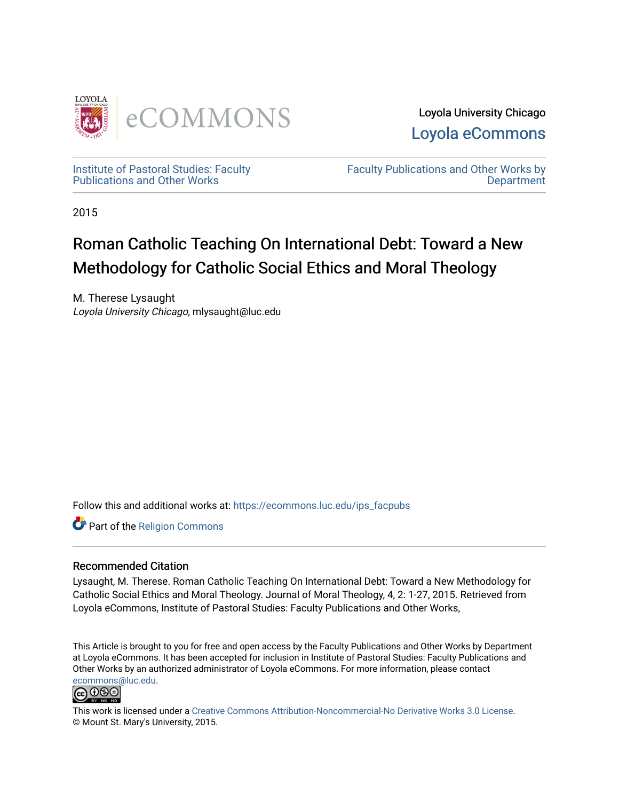

Loyola University Chicago [Loyola eCommons](https://ecommons.luc.edu/) 

[Institute of Pastoral Studies: Faculty](https://ecommons.luc.edu/ips_facpubs)  [Publications and Other Works](https://ecommons.luc.edu/ips_facpubs) 

[Faculty Publications and Other Works by](https://ecommons.luc.edu/faculty)  **Department** 

2015

# Roman Catholic Teaching On International Debt: Toward a New Methodology for Catholic Social Ethics and Moral Theology

M. Therese Lysaught Loyola University Chicago, mlysaught@luc.edu

Follow this and additional works at: [https://ecommons.luc.edu/ips\\_facpubs](https://ecommons.luc.edu/ips_facpubs?utm_source=ecommons.luc.edu%2Fips_facpubs%2F26&utm_medium=PDF&utm_campaign=PDFCoverPages)

Part of the [Religion Commons](http://network.bepress.com/hgg/discipline/538?utm_source=ecommons.luc.edu%2Fips_facpubs%2F26&utm_medium=PDF&utm_campaign=PDFCoverPages)

#### Recommended Citation

Lysaught, M. Therese. Roman Catholic Teaching On International Debt: Toward a New Methodology for Catholic Social Ethics and Moral Theology. Journal of Moral Theology, 4, 2: 1-27, 2015. Retrieved from Loyola eCommons, Institute of Pastoral Studies: Faculty Publications and Other Works,

This Article is brought to you for free and open access by the Faculty Publications and Other Works by Department at Loyola eCommons. It has been accepted for inclusion in Institute of Pastoral Studies: Faculty Publications and Other Works by an authorized administrator of Loyola eCommons. For more information, please contact [ecommons@luc.edu](mailto:ecommons@luc.edu).



This work is licensed under a [Creative Commons Attribution-Noncommercial-No Derivative Works 3.0 License.](https://creativecommons.org/licenses/by-nc-nd/3.0/) © Mount St. Mary's University, 2015.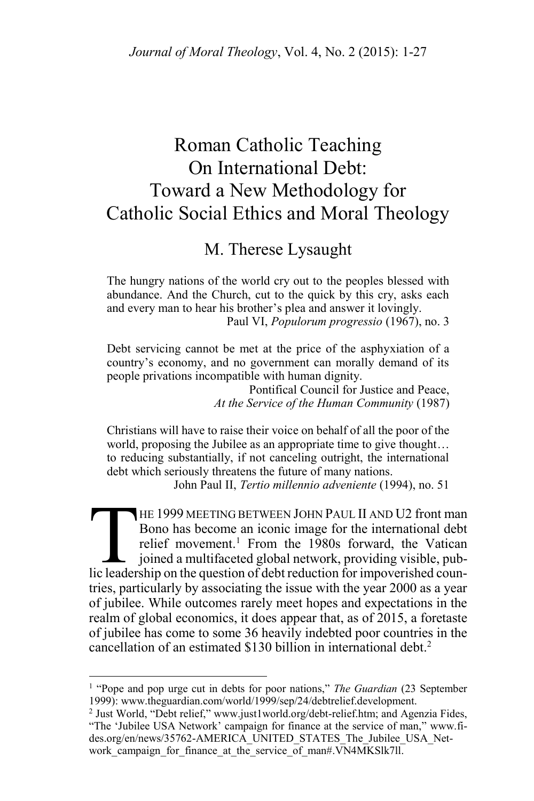## Roman Catholic Teaching On International Debt: Toward a New Methodology for Catholic Social Ethics and Moral Theology

M. Therese Lysaught

The hungry nations of the world cry out to the peoples blessed with abundance. And the Church, cut to the quick by this cry, asks each and every man to hear his brother's plea and answer it lovingly. Paul VI, *Populorum progressio* (1967), no. 3

Debt servicing cannot be met at the price of the asphyxiation of a country's economy, and no government can morally demand of its people privations incompatible with human dignity.

Pontifical Council for Justice and Peace, *At the Service of the Human Community* (1987)

Christians will have to raise their voice on behalf of all the poor of the world, proposing the Jubilee as an appropriate time to give thought… to reducing substantially, if not canceling outright, the international debt which seriously threatens the future of many nations.

John Paul II, *Tertio millennio adveniente* (1994), no. 51

HE 1999 MEETING BETWEEN JOHN PAUL II AND U2 front man Bono has become an iconic image for the international debt relief movement.<sup>1</sup> From the 1980s forward, the Vatican joined a multifaceted global network, providing visible, pub-HE 1999 MEETING BETWEEN JOHN PAUL II AND U2 front man<br>Bono has become an iconic image for the international debt<br>relief movement.<sup>1</sup> From the 1980s forward, the Vatican<br>joined a multifaceted global network, providing visib tries, particularly by associating the issue with the year 2000 as a year of jubilee. While outcomes rarely meet hopes and expectations in the realm of global economics, it does appear that, as of 2015, a foretaste of jubilee has come to some 36 heavily indebted poor countries in the cancellation of an estimated \$130 billion in international debt.<sup>2</sup>

<sup>&</sup>lt;sup>1</sup> "Pope and pop urge cut in debts for poor nations," *The Guardian* (23 September 1999): www.theguardian.com/world/1999/sep/24/debtrelief.development.

<sup>&</sup>lt;sup>2</sup> Just World, "Debt relief," www.just1world.org/debt-relief.htm; and Agenzia Fides, "The 'Jubilee USA Network' campaign for finance at the service of man," www.fides.org/en/news/35762-AMERICA\_UNITED\_STATES\_The\_Jubilee\_USA\_Network campaign for finance at the service of man#.VN4MKSlk7ll.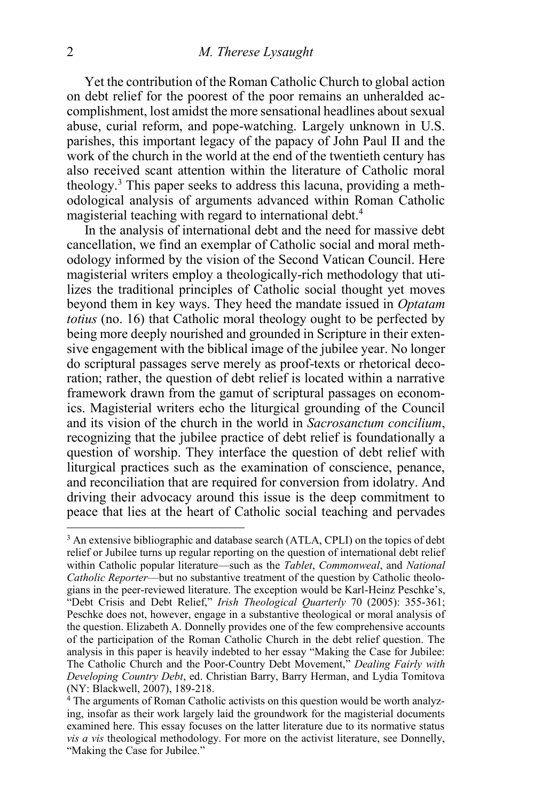Yet the contribution of the Roman Catholic Church to global action on debt relief for the poorest of the poor remains an unheralded accomplishment, lost amidst the more sensational headlines about sexual abuse, curial reform, and pope-watching. Largely unknown in U.S. parishes, this important legacy of the papacy of John Paul II and the work of the church in the world at the end of the twentieth century has also received scant attention within the literature of Catholic moral theology.<sup>3</sup> This paper seeks to address this lacuna, providing a methodological analysis of arguments advanced within Roman Catholic magisterial teaching with regard to international debt.<sup>4</sup>

In the analysis of international debt and the need for massive debt cancellation, we find an exemplar of Catholic social and moral methodology informed by the vision of the Second Vatican Council. Here magisterial writers employ a theologically-rich methodology that utilizes the traditional principles of Catholic social thought yet moves beyond them in key ways. They heed the mandate issued in *Optatam totius* (no. 16) that Catholic moral theology ought to be perfected by being more deeply nourished and grounded in Scripture in their extensive engagement with the biblical image of the jubilee year. No longer do scriptural passages serve merely as proof-texts or rhetorical decoration; rather, the question of debt relief is located within a narrative framework drawn from the gamut of scriptural passages on economics. Magisterial writers echo the liturgical grounding of the Council and its vision of the church in the world in *Sacrosanctum concilium*, recognizing that the jubilee practice of debt relief is foundationally a question of worship. They interface the question of debt relief with liturgical practices such as the examination of conscience, penance, and reconciliation that are required for conversion from idolatry. And driving their advocacy around this issue is the deep commitment to peace that lies at the heart of Catholic social teaching and pervades

<sup>&</sup>lt;sup>3</sup> An extensive bibliographic and database search (ATLA, CPLI) on the topics of debt relief or Jubilee turns up regular reporting on the question of international debt relief within Catholic popular literature—such as the *Tablet*, *Commonweal*, and *National Catholic Reporter*—but no substantive treatment of the question by Catholic theologians in the peer-reviewed literature. The exception would be Karl-Heinz Peschke's, "Debt Crisis and Debt Relief," *Irish Theological Quarterly* 70 (2005): 355-361; Peschke does not, however, engage in a substantive theological or moral analysis of the question. Elizabeth A. Donnelly provides one of the few comprehensive accounts of the participation of the Roman Catholic Church in the debt relief question. The analysis in this paper is heavily indebted to her essay "Making the Case for Jubilee: The Catholic Church and the Poor-Country Debt Movement," *Dealing Fairly with Developing Country Debt*, ed. Christian Barry, Barry Herman, and Lydia Tomitova (NY: Blackwell, 2007), 189-218.

 $4$  The arguments of Roman Catholic activists on this question would be worth analyzing, insofar as their work largely laid the groundwork for the magisterial documents examined here. This essay focuses on the latter literature due to its normative status *vis a vis* theological methodology. For more on the activist literature, see Donnelly, "Making the Case for Jubilee."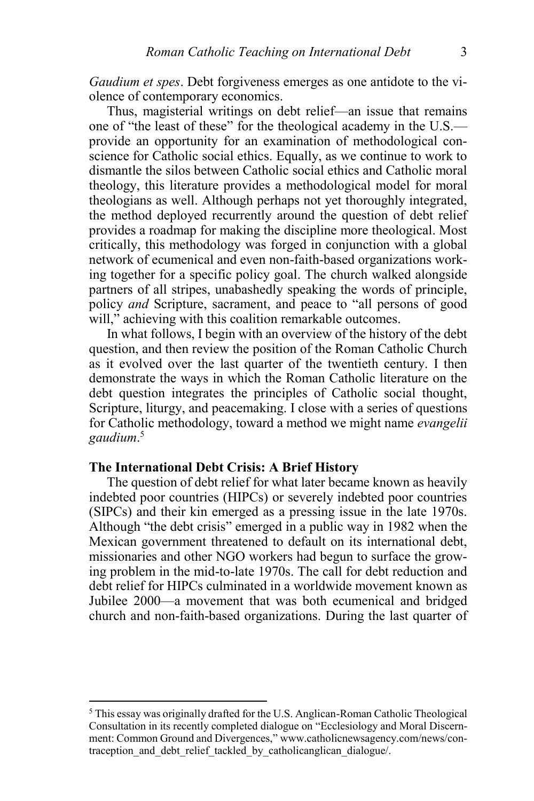*Gaudium et spes*. Debt forgiveness emerges as one antidote to the violence of contemporary economics.

Thus, magisterial writings on debt relief—an issue that remains one of "the least of these" for the theological academy in the U.S. provide an opportunity for an examination of methodological conscience for Catholic social ethics. Equally, as we continue to work to dismantle the silos between Catholic social ethics and Catholic moral theology, this literature provides a methodological model for moral theologians as well. Although perhaps not yet thoroughly integrated, the method deployed recurrently around the question of debt relief provides a roadmap for making the discipline more theological. Most critically, this methodology was forged in conjunction with a global network of ecumenical and even non-faith-based organizations working together for a specific policy goal. The church walked alongside partners of all stripes, unabashedly speaking the words of principle, policy *and* Scripture, sacrament, and peace to "all persons of good will," achieving with this coalition remarkable outcomes.

In what follows, I begin with an overview of the history of the debt question, and then review the position of the Roman Catholic Church as it evolved over the last quarter of the twentieth century. I then demonstrate the ways in which the Roman Catholic literature on the debt question integrates the principles of Catholic social thought, Scripture, liturgy, and peacemaking. I close with a series of questions for Catholic methodology, toward a method we might name *evangelii gaudium*. 5

#### **The International Debt Crisis: A Brief History**

 $\overline{a}$ 

The question of debt relief for what later became known as heavily indebted poor countries (HIPCs) or severely indebted poor countries (SIPCs) and their kin emerged as a pressing issue in the late 1970s. Although "the debt crisis" emerged in a public way in 1982 when the Mexican government threatened to default on its international debt, missionaries and other NGO workers had begun to surface the growing problem in the mid-to-late 1970s. The call for debt reduction and debt relief for HIPCs culminated in a worldwide movement known as Jubilee 2000—a movement that was both ecumenical and bridged church and non-faith-based organizations. During the last quarter of

<sup>5</sup> This essay was originally drafted for the U.S. Anglican-Roman Catholic Theological Consultation in its recently completed dialogue on "Ecclesiology and Moral Discernment: Common Ground and Divergences," www.catholicnewsagency.com/news/contraception and debt relief tackled by catholicanglican dialogue/.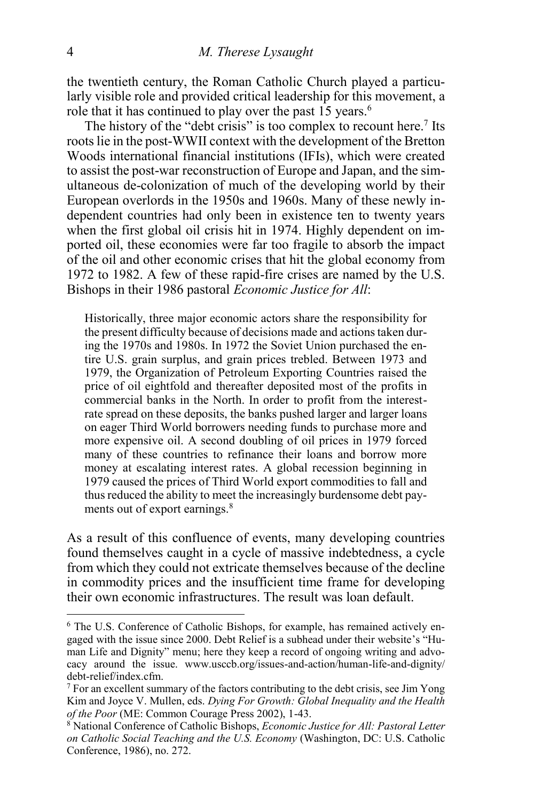the twentieth century, the Roman Catholic Church played a particularly visible role and provided critical leadership for this movement, a role that it has continued to play over the past  $15$  years.<sup>6</sup>

The history of the "debt crisis" is too complex to recount here.<sup>7</sup> Its roots lie in the post-WWII context with the development of the Bretton Woods international financial institutions (IFIs), which were created to assist the post-war reconstruction of Europe and Japan, and the simultaneous de-colonization of much of the developing world by their European overlords in the 1950s and 1960s. Many of these newly independent countries had only been in existence ten to twenty years when the first global oil crisis hit in 1974. Highly dependent on imported oil, these economies were far too fragile to absorb the impact of the oil and other economic crises that hit the global economy from 1972 to 1982. A few of these rapid-fire crises are named by the U.S. Bishops in their 1986 pastoral *Economic Justice for All*:

Historically, three major economic actors share the responsibility for the present difficulty because of decisions made and actions taken during the 1970s and 1980s. In 1972 the Soviet Union purchased the entire U.S. grain surplus, and grain prices trebled. Between 1973 and 1979, the Organization of Petroleum Exporting Countries raised the price of oil eightfold and thereafter deposited most of the profits in commercial banks in the North. In order to profit from the interestrate spread on these deposits, the banks pushed larger and larger loans on eager Third World borrowers needing funds to purchase more and more expensive oil. A second doubling of oil prices in 1979 forced many of these countries to refinance their loans and borrow more money at escalating interest rates. A global recession beginning in 1979 caused the prices of Third World export commodities to fall and thus reduced the ability to meet the increasingly burdensome debt payments out of export earnings.<sup>8</sup>

As a result of this confluence of events, many developing countries found themselves caught in a cycle of massive indebtedness, a cycle from which they could not extricate themselves because of the decline in commodity prices and the insufficient time frame for developing their own economic infrastructures. The result was loan default.

<sup>6</sup> The U.S. Conference of Catholic Bishops, for example, has remained actively engaged with the issue since 2000. Debt Relief is a subhead under their website's "Human Life and Dignity" menu; here they keep a record of ongoing writing and advocacy around the issue. www.usccb.org/issues-and-action/human-life-and-dignity/ debt-relief/index.cfm.

<sup>7</sup> For an excellent summary of the factors contributing to the debt crisis, see Jim Yong Kim and Joyce V. Mullen, eds. *Dying For Growth: Global Inequality and the Health of the Poor* (ME: Common Courage Press 2002), 1-43.

<sup>8</sup> National Conference of Catholic Bishops, *Economic Justice for All: Pastoral Letter on Catholic Social Teaching and the U.S. Economy* (Washington, DC: U.S. Catholic Conference, 1986), no. 272.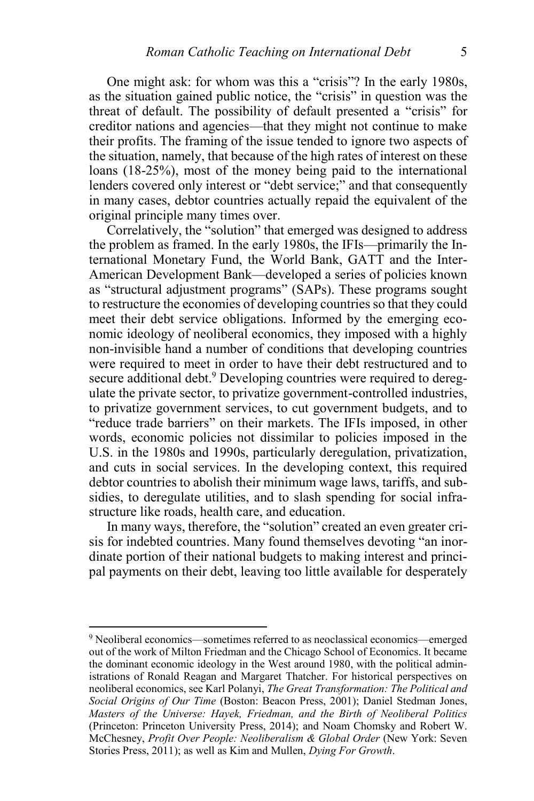One might ask: for whom was this a "crisis"? In the early 1980s, as the situation gained public notice, the "crisis" in question was the threat of default. The possibility of default presented a "crisis" for creditor nations and agencies—that they might not continue to make their profits. The framing of the issue tended to ignore two aspects of the situation, namely, that because of the high rates of interest on these loans (18-25%), most of the money being paid to the international lenders covered only interest or "debt service;" and that consequently in many cases, debtor countries actually repaid the equivalent of the original principle many times over.

Correlatively, the "solution" that emerged was designed to address the problem as framed. In the early 1980s, the IFIs—primarily the International Monetary Fund, the World Bank, GATT and the Inter-American Development Bank—developed a series of policies known as "structural adjustment programs" (SAPs). These programs sought to restructure the economies of developing countries so that they could meet their debt service obligations. Informed by the emerging economic ideology of neoliberal economics, they imposed with a highly non-invisible hand a number of conditions that developing countries were required to meet in order to have their debt restructured and to secure additional debt.<sup>9</sup> Developing countries were required to deregulate the private sector, to privatize government-controlled industries, to privatize government services, to cut government budgets, and to "reduce trade barriers" on their markets. The IFIs imposed, in other words, economic policies not dissimilar to policies imposed in the U.S. in the 1980s and 1990s, particularly deregulation, privatization, and cuts in social services. In the developing context, this required debtor countries to abolish their minimum wage laws, tariffs, and subsidies, to deregulate utilities, and to slash spending for social infrastructure like roads, health care, and education.

In many ways, therefore, the "solution" created an even greater crisis for indebted countries. Many found themselves devoting "an inordinate portion of their national budgets to making interest and principal payments on their debt, leaving too little available for desperately

<sup>9</sup> Neoliberal economics—sometimes referred to as neoclassical economics—emerged out of the work of Milton Friedman and the Chicago School of Economics. It became the dominant economic ideology in the West around 1980, with the political administrations of Ronald Reagan and Margaret Thatcher. For historical perspectives on neoliberal economics, see Karl Polanyi, *The Great Transformation: The Political and Social Origins of Our Time* (Boston: Beacon Press, 2001); Daniel Stedman Jones, *Masters of the Universe: Hayek, Friedman, and the Birth of Neoliberal Politics* (Princeton: Princeton University Press, 2014); and Noam Chomsky and Robert W. McChesney, *Profit Over People: Neoliberalism & Global Order* (New York: Seven Stories Press, 2011); as well as Kim and Mullen, *Dying For Growth*.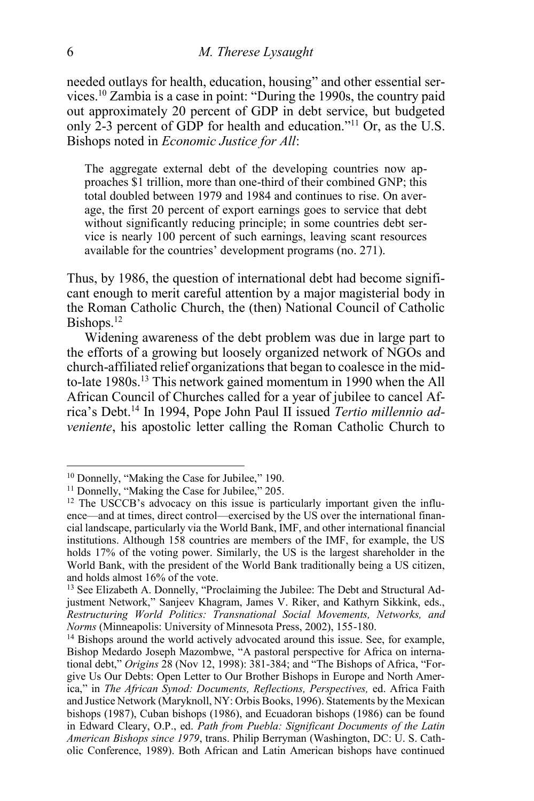needed outlays for health, education, housing" and other essential services.<sup>10</sup> Zambia is a case in point: "During the 1990s, the country paid out approximately 20 percent of GDP in debt service, but budgeted only 2-3 percent of GDP for health and education." <sup>11</sup> Or, as the U.S. Bishops noted in *Economic Justice for All*:

The aggregate external debt of the developing countries now approaches \$1 trillion, more than one-third of their combined GNP; this total doubled between 1979 and 1984 and continues to rise. On average, the first 20 percent of export earnings goes to service that debt without significantly reducing principle; in some countries debt service is nearly 100 percent of such earnings, leaving scant resources available for the countries' development programs (no. 271).

Thus, by 1986, the question of international debt had become significant enough to merit careful attention by a major magisterial body in the Roman Catholic Church, the (then) National Council of Catholic Bishops. $^{12}$ 

Widening awareness of the debt problem was due in large part to the efforts of a growing but loosely organized network of NGOs and church-affiliated relief organizations that began to coalesce in the midto-late 1980s.<sup>13</sup> This network gained momentum in 1990 when the All African Council of Churches called for a year of jubilee to cancel Africa's Debt.<sup>14</sup> In 1994, Pope John Paul II issued *Tertio millennio adveniente*, his apostolic letter calling the Roman Catholic Church to

<sup>&</sup>lt;sup>10</sup> Donnelly, "Making the Case for Jubilee," 190.

<sup>&</sup>lt;sup>11</sup> Donnelly, "Making the Case for Jubilee," 205.

<sup>&</sup>lt;sup>12</sup> The USCCB's advocacy on this issue is particularly important given the influence—and at times, direct control—exercised by the US over the international financial landscape, particularly via the World Bank, IMF, and other international financial institutions. Although 158 countries are members of the IMF, for example, the US holds 17% of the voting power. Similarly, the US is the largest shareholder in the World Bank, with the president of the World Bank traditionally being a US citizen, and holds almost 16% of the vote.

<sup>13</sup> See Elizabeth A. Donnelly, "Proclaiming the Jubilee: The Debt and Structural Adjustment Network," Sanjeev Khagram, James V. Riker, and Kathyrn Sikkink, eds., *Restructuring World Politics: Transnational Social Movements, Networks, and Norms* (Minneapolis: University of Minnesota Press, 2002), 155-180.

<sup>&</sup>lt;sup>14</sup> Bishops around the world actively advocated around this issue. See, for example, Bishop Medardo Joseph Mazombwe, "A pastoral perspective for Africa on international debt," *Origins* 28 (Nov 12, 1998): 381-384; and "The Bishops of Africa, "Forgive Us Our Debts: Open Letter to Our Brother Bishops in Europe and North America," in *The African Synod: Documents, Reflections, Perspectives,* ed. Africa Faith and Justice Network (Maryknoll, NY: Orbis Books, 1996). Statements by the Mexican bishops (1987), Cuban bishops (1986), and Ecuadoran bishops (1986) can be found in Edward Cleary, O.P., ed. *Path from Puebla: Significant Documents of the Latin American Bishops since 1979*, trans. Philip Berryman (Washington, DC: U. S. Catholic Conference, 1989). Both African and Latin American bishops have continued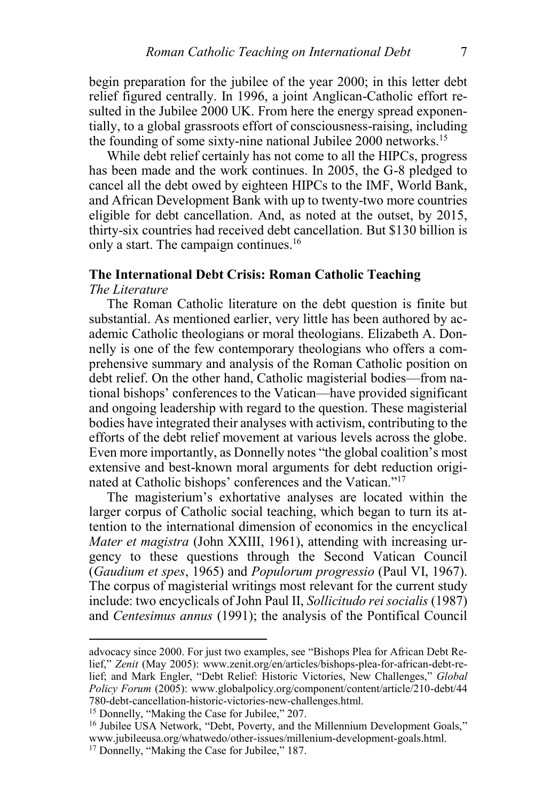begin preparation for the jubilee of the year 2000; in this letter debt relief figured centrally. In 1996, a joint Anglican-Catholic effort resulted in the Jubilee 2000 UK. From here the energy spread exponentially, to a global grassroots effort of consciousness-raising, including the founding of some sixty-nine national Jubilee 2000 networks.<sup>15</sup>

While debt relief certainly has not come to all the HIPCs, progress has been made and the work continues. In 2005, the G-8 pledged to cancel all the debt owed by eighteen HIPCs to the IMF, World Bank, and African Development Bank with up to twenty-two more countries eligible for debt cancellation. And, as noted at the outset, by 2015, thirty-six countries had received debt cancellation. But \$130 billion is only a start. The campaign continues.<sup>16</sup>

### **The International Debt Crisis: Roman Catholic Teaching**

### *The Literature*

l

The Roman Catholic literature on the debt question is finite but substantial. As mentioned earlier, very little has been authored by academic Catholic theologians or moral theologians. Elizabeth A. Donnelly is one of the few contemporary theologians who offers a comprehensive summary and analysis of the Roman Catholic position on debt relief. On the other hand, Catholic magisterial bodies—from national bishops' conferences to the Vatican—have provided significant and ongoing leadership with regard to the question. These magisterial bodies have integrated their analyses with activism, contributing to the efforts of the debt relief movement at various levels across the globe. Even more importantly, as Donnelly notes "the global coalition's most extensive and best-known moral arguments for debt reduction originated at Catholic bishops' conferences and the Vatican." 17

The magisterium's exhortative analyses are located within the larger corpus of Catholic social teaching, which began to turn its attention to the international dimension of economics in the encyclical *Mater et magistra* (John XXIII, 1961), attending with increasing urgency to these questions through the Second Vatican Council (*Gaudium et spes*, 1965) and *Populorum progressio* (Paul VI, 1967). The corpus of magisterial writings most relevant for the current study include: two encyclicals of John Paul II, *Sollicitudo rei socialis* (1987) and *Centesimus annus* (1991); the analysis of the Pontifical Council

advocacy since 2000. For just two examples, see "Bishops Plea for African Debt Relief," *Zenit* (May 2005): www.zenit.org/en/articles/bishops-plea-for-african-debt-relief; and Mark Engler, "Debt Relief: Historic Victories, New Challenges," *Global Policy Forum* (2005): www.globalpolicy.org/component/content/article/210-debt/44 780-debt-cancellation-historic-victories-new-challenges.html.

<sup>15</sup> Donnelly, "Making the Case for Jubilee," 207.

<sup>&</sup>lt;sup>16</sup> Jubilee USA Network, "Debt, Poverty, and the Millennium Development Goals," www.jubileeusa.org/whatwedo/other-issues/millenium-development-goals.html. <sup>17</sup> Donnelly, "Making the Case for Jubilee," 187.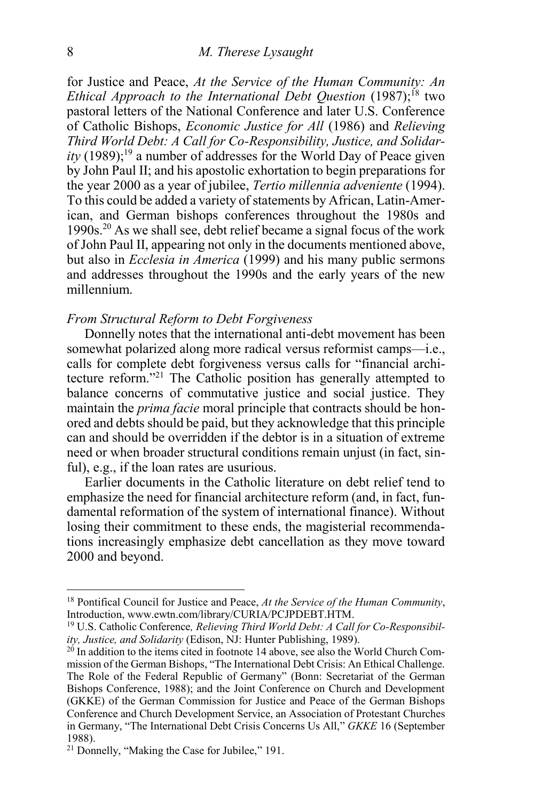for Justice and Peace, *At the Service of the Human Community: An Ethical Approach to the International Debt Question (1987)*;<sup>18</sup> two pastoral letters of the National Conference and later U.S. Conference of Catholic Bishops, *Economic Justice for All* (1986) and *Relieving Third World Debt: A Call for Co-Responsibility, Justice, and Solidar* $itv$  (1989);<sup>19</sup> a number of addresses for the World Day of Peace given by John Paul II; and his apostolic exhortation to begin preparations for the year 2000 as a year of jubilee, *Tertio millennia adveniente* (1994). To this could be added a variety of statements by African, Latin-American, and German bishops conferences throughout the 1980s and 1990s.<sup>20</sup> As we shall see, debt relief became a signal focus of the work of John Paul II, appearing not only in the documents mentioned above, but also in *Ecclesia in America* (1999) and his many public sermons and addresses throughout the 1990s and the early years of the new millennium.

#### *From Structural Reform to Debt Forgiveness*

Donnelly notes that the international anti-debt movement has been somewhat polarized along more radical versus reformist camps—i.e., calls for complete debt forgiveness versus calls for "financial architecture reform." <sup>21</sup> The Catholic position has generally attempted to balance concerns of commutative justice and social justice. They maintain the *prima facie* moral principle that contracts should be honored and debts should be paid, but they acknowledge that this principle can and should be overridden if the debtor is in a situation of extreme need or when broader structural conditions remain unjust (in fact, sinful), e.g., if the loan rates are usurious.

Earlier documents in the Catholic literature on debt relief tend to emphasize the need for financial architecture reform (and, in fact, fundamental reformation of the system of international finance). Without losing their commitment to these ends, the magisterial recommendations increasingly emphasize debt cancellation as they move toward 2000 and beyond.

<sup>18</sup> Pontifical Council for Justice and Peace, *At the Service of the Human Community*, Introduction, www.ewtn.com/library/CURIA/PCJPDEBT.HTM.

<sup>19</sup> U.S. Catholic Conference*, Relieving Third World Debt: A Call for Co-Responsibility, Justice, and Solidarity* (Edison, NJ: Hunter Publishing, 1989).

 $20$  In addition to the items cited in footnote 14 above, see also the World Church Commission of the German Bishops, "The International Debt Crisis: An Ethical Challenge. The Role of the Federal Republic of Germany" (Bonn: Secretariat of the German Bishops Conference, 1988); and the Joint Conference on Church and Development (GKKE) of the German Commission for Justice and Peace of the German Bishops Conference and Church Development Service, an Association of Protestant Churches in Germany, "The International Debt Crisis Concerns Us All," *GKKE* 16 (September 1988).

<sup>21</sup> Donnelly, "Making the Case for Jubilee," 191.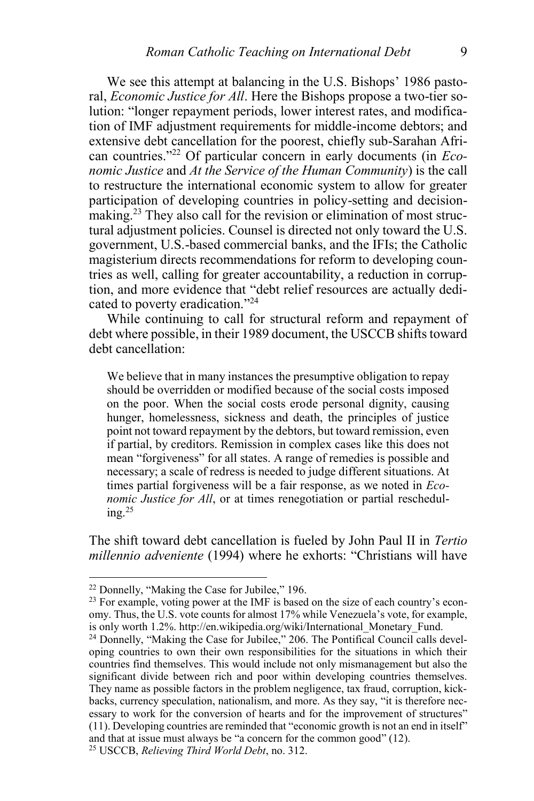We see this attempt at balancing in the U.S. Bishops' 1986 pastoral, *Economic Justice for All*. Here the Bishops propose a two-tier solution: "longer repayment periods, lower interest rates, and modification of IMF adjustment requirements for middle-income debtors; and extensive debt cancellation for the poorest, chiefly sub-Sarahan African countries." <sup>22</sup> Of particular concern in early documents (in *Economic Justice* and *At the Service of the Human Community*) is the call to restructure the international economic system to allow for greater participation of developing countries in policy-setting and decisionmaking.<sup>23</sup> They also call for the revision or elimination of most structural adjustment policies. Counsel is directed not only toward the U.S. government, U.S.-based commercial banks, and the IFIs; the Catholic magisterium directs recommendations for reform to developing countries as well, calling for greater accountability, a reduction in corruption, and more evidence that "debt relief resources are actually dedicated to poverty eradication." 24

While continuing to call for structural reform and repayment of debt where possible, in their 1989 document, the USCCB shifts toward debt cancellation:

We believe that in many instances the presumptive obligation to repay should be overridden or modified because of the social costs imposed on the poor. When the social costs erode personal dignity, causing hunger, homelessness, sickness and death, the principles of justice point not toward repayment by the debtors, but toward remission, even if partial, by creditors. Remission in complex cases like this does not mean "forgiveness" for all states. A range of remedies is possible and necessary; a scale of redress is needed to judge different situations. At times partial forgiveness will be a fair response, as we noted in *Economic Justice for All*, or at times renegotiation or partial rescheduling. $^{25}$ 

The shift toward debt cancellation is fueled by John Paul II in *Tertio millennio adveniente* (1994) where he exhorts: "Christians will have

<sup>22</sup> Donnelly, "Making the Case for Jubilee," 196.

<sup>&</sup>lt;sup>23</sup> For example, voting power at the IMF is based on the size of each country's economy. Thus, the U.S. vote counts for almost 17% while Venezuela's vote, for example, is only worth 1.2%. http://en.wikipedia.org/wiki/International\_Monetary\_Fund.

<sup>&</sup>lt;sup>24</sup> Donnelly, "Making the Case for Jubilee," 206. The Pontifical Council calls developing countries to own their own responsibilities for the situations in which their countries find themselves. This would include not only mismanagement but also the significant divide between rich and poor within developing countries themselves. They name as possible factors in the problem negligence, tax fraud, corruption, kickbacks, currency speculation, nationalism, and more. As they say, "it is therefore necessary to work for the conversion of hearts and for the improvement of structures" (11). Developing countries are reminded that "economic growth is not an end in itself" and that at issue must always be "a concern for the common good" (12).

<sup>25</sup> USCCB, *Relieving Third World Debt*, no. 312.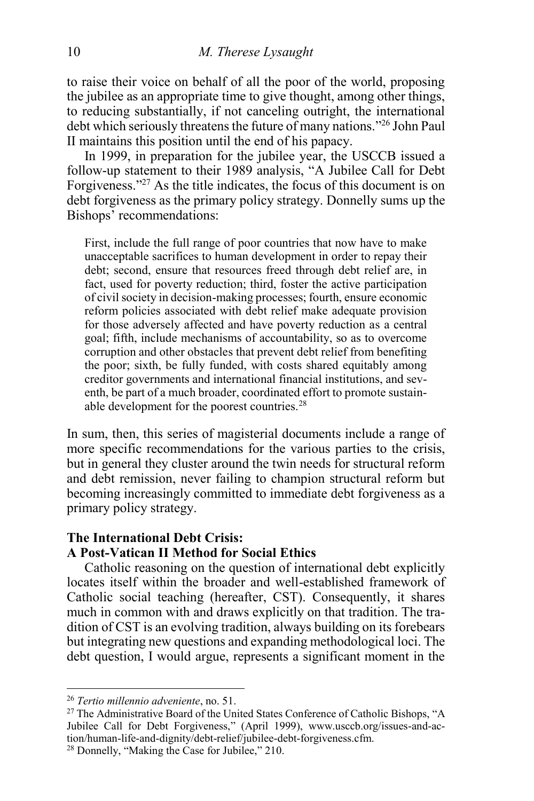to raise their voice on behalf of all the poor of the world, proposing the jubilee as an appropriate time to give thought, among other things, to reducing substantially, if not canceling outright, the international debt which seriously threatens the future of many nations." <sup>26</sup> John Paul II maintains this position until the end of his papacy.

In 1999, in preparation for the jubilee year, the USCCB issued a follow-up statement to their 1989 analysis, "A Jubilee Call for Debt Forgiveness." <sup>27</sup> As the title indicates, the focus of this document is on debt forgiveness as the primary policy strategy. Donnelly sums up the Bishops' recommendations:

First, include the full range of poor countries that now have to make unacceptable sacrifices to human development in order to repay their debt; second, ensure that resources freed through debt relief are, in fact, used for poverty reduction; third, foster the active participation of civil society in decision-making processes; fourth, ensure economic reform policies associated with debt relief make adequate provision for those adversely affected and have poverty reduction as a central goal; fifth, include mechanisms of accountability, so as to overcome corruption and other obstacles that prevent debt relief from benefiting the poor; sixth, be fully funded, with costs shared equitably among creditor governments and international financial institutions, and seventh, be part of a much broader, coordinated effort to promote sustainable development for the poorest countries.<sup>28</sup>

In sum, then, this series of magisterial documents include a range of more specific recommendations for the various parties to the crisis, but in general they cluster around the twin needs for structural reform and debt remission, never failing to champion structural reform but becoming increasingly committed to immediate debt forgiveness as a primary policy strategy.

#### **The International Debt Crisis:**

#### **A Post-Vatican II Method for Social Ethics**

Catholic reasoning on the question of international debt explicitly locates itself within the broader and well-established framework of Catholic social teaching (hereafter, CST). Consequently, it shares much in common with and draws explicitly on that tradition. The tradition of CST is an evolving tradition, always building on its forebears but integrating new questions and expanding methodological loci. The debt question, I would argue, represents a significant moment in the

<sup>26</sup> *Tertio millennio adveniente*, no. 51.

<sup>&</sup>lt;sup>27</sup> The Administrative Board of the United States Conference of Catholic Bishops, "A Jubilee Call for Debt Forgiveness," (April 1999), www.usccb.org/issues-and-action/human-life-and-dignity/debt-relief/jubilee-debt-forgiveness.cfm.

<sup>28</sup> Donnelly, "Making the Case for Jubilee," 210.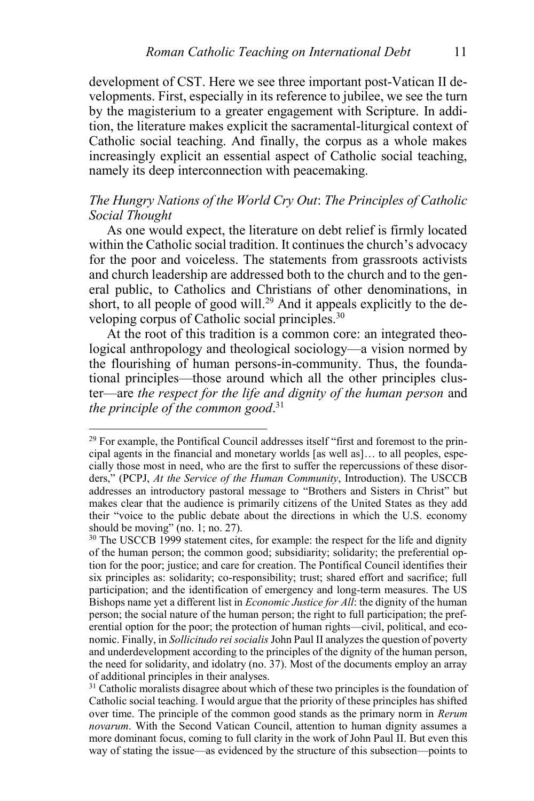development of CST. Here we see three important post-Vatican II developments. First, especially in its reference to jubilee, we see the turn by the magisterium to a greater engagement with Scripture. In addition, the literature makes explicit the sacramental-liturgical context of Catholic social teaching. And finally, the corpus as a whole makes increasingly explicit an essential aspect of Catholic social teaching, namely its deep interconnection with peacemaking.

#### *The Hungry Nations of the World Cry Out*: *The Principles of Catholic Social Thought*

As one would expect, the literature on debt relief is firmly located within the Catholic social tradition. It continues the church's advocacy for the poor and voiceless. The statements from grassroots activists and church leadership are addressed both to the church and to the general public, to Catholics and Christians of other denominations, in short, to all people of good will.<sup>29</sup> And it appeals explicitly to the developing corpus of Catholic social principles.<sup>30</sup>

At the root of this tradition is a common core: an integrated theological anthropology and theological sociology—a vision normed by the flourishing of human persons-in-community. Thus, the foundational principles—those around which all the other principles cluster—are *the respect for the life and dignity of the human person* and *the principle of the common good*. 31

<sup>&</sup>lt;sup>29</sup> For example, the Pontifical Council addresses itself "first and foremost to the principal agents in the financial and monetary worlds [as well as]… to all peoples, especially those most in need, who are the first to suffer the repercussions of these disorders," (PCPJ, *At the Service of the Human Community*, Introduction). The USCCB addresses an introductory pastoral message to "Brothers and Sisters in Christ" but makes clear that the audience is primarily citizens of the United States as they add their "voice to the public debate about the directions in which the U.S. economy should be moving" (no. 1; no. 27).

<sup>&</sup>lt;sup>30</sup> The USCCB 1999 statement cites, for example: the respect for the life and dignity of the human person; the common good; subsidiarity; solidarity; the preferential option for the poor; justice; and care for creation. The Pontifical Council identifies their six principles as: solidarity; co-responsibility; trust; shared effort and sacrifice; full participation; and the identification of emergency and long-term measures. The US Bishops name yet a different list in *Economic Justice for All*: the dignity of the human person; the social nature of the human person; the right to full participation; the preferential option for the poor; the protection of human rights—civil, political, and economic. Finally, in *Sollicitudo rei socialis* John Paul II analyzes the question of poverty and underdevelopment according to the principles of the dignity of the human person, the need for solidarity, and idolatry (no. 37). Most of the documents employ an array of additional principles in their analyses.

<sup>&</sup>lt;sup>31</sup> Catholic moralists disagree about which of these two principles is the foundation of Catholic social teaching. I would argue that the priority of these principles has shifted over time. The principle of the common good stands as the primary norm in *Rerum novarum*. With the Second Vatican Council, attention to human dignity assumes a more dominant focus, coming to full clarity in the work of John Paul II. But even this way of stating the issue—as evidenced by the structure of this subsection—points to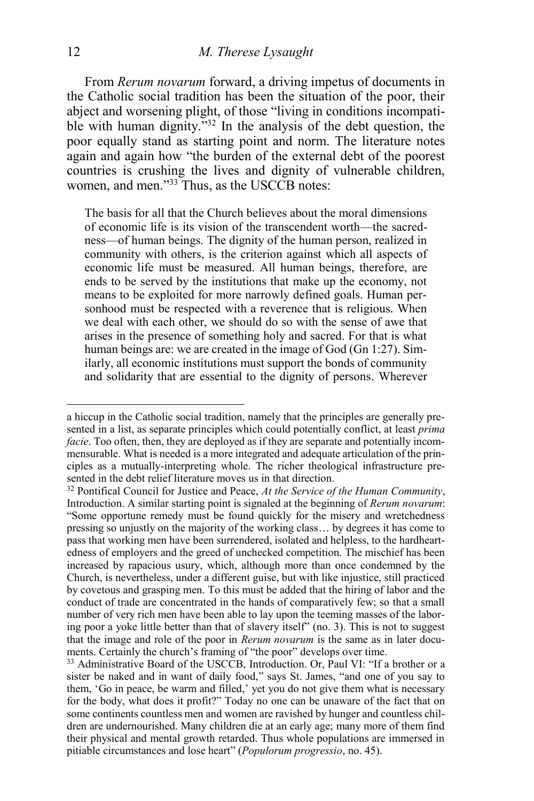From *Rerum novarum* forward, a driving impetus of documents in the Catholic social tradition has been the situation of the poor, their abject and worsening plight, of those "living in conditions incompatible with human dignity.<sup>732</sup> In the analysis of the debt question, the poor equally stand as starting point and norm. The literature notes again and again how "the burden of the external debt of the poorest countries is crushing the lives and dignity of vulnerable children, women, and men."<sup>33</sup> Thus, as the USCCB notes:

The basis for all that the Church believes about the moral dimensions of economic life is its vision of the transcendent worth—the sacredness—of human beings. The dignity of the human person, realized in community with others, is the criterion against which all aspects of economic life must be measured. All human beings, therefore, are ends to be served by the institutions that make up the economy, not means to be exploited for more narrowly defined goals. Human personhood must be respected with a reverence that is religious. When we deal with each other, we should do so with the sense of awe that arises in the presence of something holy and sacred. For that is what human beings are: we are created in the image of God (Gn 1:27). Similarly, all economic institutions must support the bonds of community and solidarity that are essential to the dignity of persons. Wherever

a hiccup in the Catholic social tradition, namely that the principles are generally presented in a list, as separate principles which could potentially conflict, at least *prima facie*. Too often, then, they are deployed as if they are separate and potentially incommensurable. What is needed is a more integrated and adequate articulation of the principles as a mutually-interpreting whole. The richer theological infrastructure presented in the debt relief literature moves us in that direction.

<sup>32</sup> Pontifical Council for Justice and Peace, *At the Service of the Human Community*, Introduction. A similar starting point is signaled at the beginning of *Rerum novarum*: "Some opportune remedy must be found quickly for the misery and wretchedness pressing so unjustly on the majority of the working class… by degrees it has come to pass that working men have been surrendered, isolated and helpless, to the hardheartedness of employers and the greed of unchecked competition. The mischief has been increased by rapacious usury, which, although more than once condemned by the Church, is nevertheless, under a different guise, but with like injustice, still practiced by covetous and grasping men. To this must be added that the hiring of labor and the conduct of trade are concentrated in the hands of comparatively few; so that a small number of very rich men have been able to lay upon the teeming masses of the laboring poor a yoke little better than that of slavery itself" (no. 3). This is not to suggest that the image and role of the poor in *Rerum novarum* is the same as in later documents. Certainly the church's framing of "the poor" develops over time.

<sup>&</sup>lt;sup>33</sup> Administrative Board of the USCCB, Introduction. Or, Paul VI: "If a brother or a sister be naked and in want of daily food," says St. James, "and one of you say to them, 'Go in peace, be warm and filled,' yet you do not give them what is necessary for the body, what does it profit?" Today no one can be unaware of the fact that on some continents countless men and women are ravished by hunger and countless children are undernourished. Many children die at an early age; many more of them find their physical and mental growth retarded. Thus whole populations are immersed in pitiable circumstances and lose heart" (*Populorum progressio*, no. 45).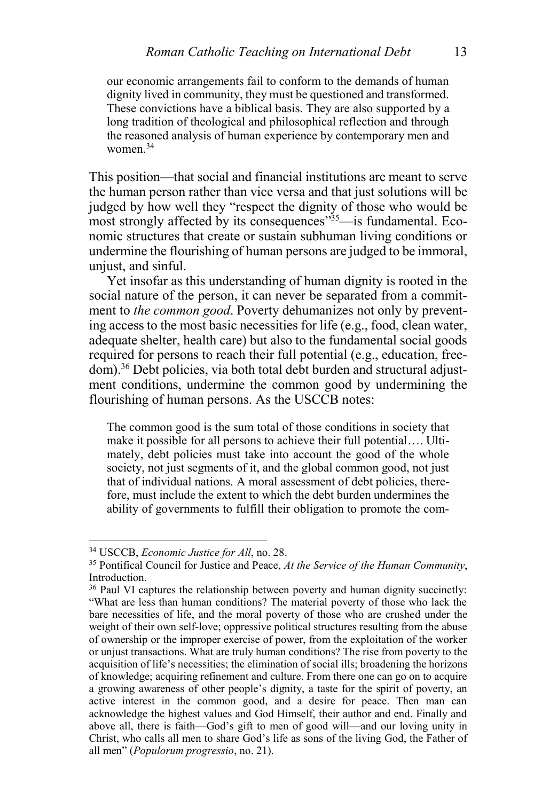our economic arrangements fail to conform to the demands of human dignity lived in community, they must be questioned and transformed. These convictions have a biblical basis. They are also supported by a long tradition of theological and philosophical reflection and through the reasoned analysis of human experience by contemporary men and women<sup>34</sup>

This position—that social and financial institutions are meant to serve the human person rather than vice versa and that just solutions will be judged by how well they "respect the dignity of those who would be most strongly affected by its consequences<sup>355</sup>—is fundamental. Economic structures that create or sustain subhuman living conditions or undermine the flourishing of human persons are judged to be immoral, unjust, and sinful.

Yet insofar as this understanding of human dignity is rooted in the social nature of the person, it can never be separated from a commitment to *the common good*. Poverty dehumanizes not only by preventing access to the most basic necessities for life (e.g., food, clean water, adequate shelter, health care) but also to the fundamental social goods required for persons to reach their full potential (e.g., education, freedom).<sup>36</sup> Debt policies, via both total debt burden and structural adjustment conditions, undermine the common good by undermining the flourishing of human persons. As the USCCB notes:

The common good is the sum total of those conditions in society that make it possible for all persons to achieve their full potential…. Ultimately, debt policies must take into account the good of the whole society, not just segments of it, and the global common good, not just that of individual nations. A moral assessment of debt policies, therefore, must include the extent to which the debt burden undermines the ability of governments to fulfill their obligation to promote the com-

<sup>34</sup> USCCB, *Economic Justice for All*, no. 28.

<sup>35</sup> Pontifical Council for Justice and Peace, *At the Service of the Human Community*, Introduction.

<sup>&</sup>lt;sup>36</sup> Paul VI captures the relationship between poverty and human dignity succinctly: "What are less than human conditions? The material poverty of those who lack the bare necessities of life, and the moral poverty of those who are crushed under the weight of their own self-love; oppressive political structures resulting from the abuse of ownership or the improper exercise of power, from the exploitation of the worker or unjust transactions. What are truly human conditions? The rise from poverty to the acquisition of life's necessities; the elimination of social ills; broadening the horizons of knowledge; acquiring refinement and culture. From there one can go on to acquire a growing awareness of other people's dignity, a taste for the spirit of poverty, an active interest in the common good, and a desire for peace. Then man can acknowledge the highest values and God Himself, their author and end. Finally and above all, there is faith—God's gift to men of good will—and our loving unity in Christ, who calls all men to share God's life as sons of the living God, the Father of all men" (*Populorum progressio*, no. 21).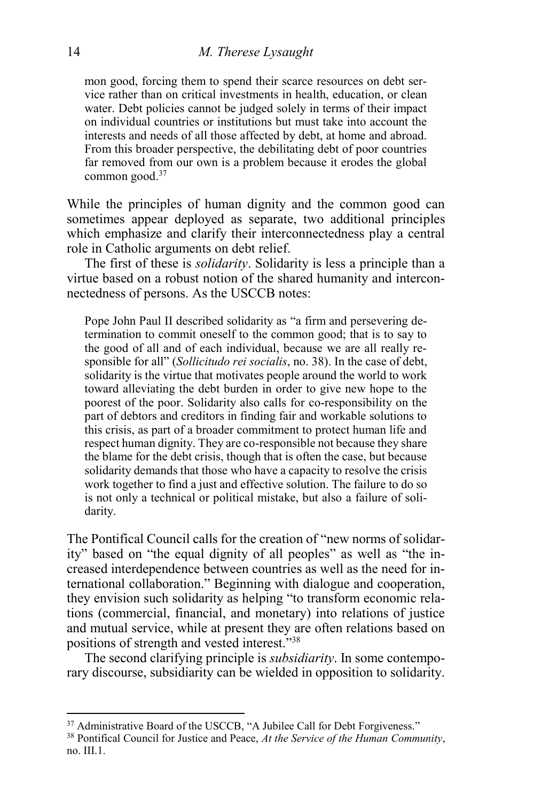mon good, forcing them to spend their scarce resources on debt service rather than on critical investments in health, education, or clean water. Debt policies cannot be judged solely in terms of their impact on individual countries or institutions but must take into account the interests and needs of all those affected by debt, at home and abroad. From this broader perspective, the debilitating debt of poor countries far removed from our own is a problem because it erodes the global common good.<sup>37</sup>

While the principles of human dignity and the common good can sometimes appear deployed as separate, two additional principles which emphasize and clarify their interconnectedness play a central role in Catholic arguments on debt relief.

The first of these is *solidarity*. Solidarity is less a principle than a virtue based on a robust notion of the shared humanity and interconnectedness of persons. As the USCCB notes:

Pope John Paul II described solidarity as "a firm and persevering determination to commit oneself to the common good; that is to say to the good of all and of each individual, because we are all really responsible for all" (*Sollicitudo rei socialis*, no. 38). In the case of debt, solidarity is the virtue that motivates people around the world to work toward alleviating the debt burden in order to give new hope to the poorest of the poor. Solidarity also calls for co-responsibility on the part of debtors and creditors in finding fair and workable solutions to this crisis, as part of a broader commitment to protect human life and respect human dignity. They are co-responsible not because they share the blame for the debt crisis, though that is often the case, but because solidarity demands that those who have a capacity to resolve the crisis work together to find a just and effective solution. The failure to do so is not only a technical or political mistake, but also a failure of solidarity.

The Pontifical Council calls for the creation of "new norms of solidarity" based on "the equal dignity of all peoples" as well as "the increased interdependence between countries as well as the need for international collaboration." Beginning with dialogue and cooperation, they envision such solidarity as helping "to transform economic relations (commercial, financial, and monetary) into relations of justice and mutual service, while at present they are often relations based on positions of strength and vested interest." 38

The second clarifying principle is *subsidiarity*. In some contemporary discourse, subsidiarity can be wielded in opposition to solidarity.

<sup>&</sup>lt;sup>37</sup> Administrative Board of the USCCB, "A Jubilee Call for Debt Forgiveness."

<sup>38</sup> Pontifical Council for Justice and Peace, *At the Service of the Human Community*, no. III.1.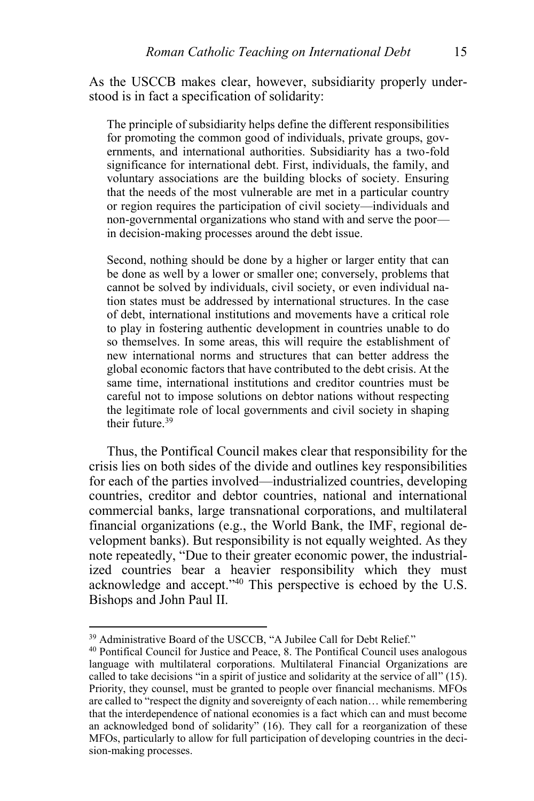As the USCCB makes clear, however, subsidiarity properly understood is in fact a specification of solidarity:

The principle of subsidiarity helps define the different responsibilities for promoting the common good of individuals, private groups, governments, and international authorities. Subsidiarity has a two-fold significance for international debt. First, individuals, the family, and voluntary associations are the building blocks of society. Ensuring that the needs of the most vulnerable are met in a particular country or region requires the participation of civil society—individuals and non-governmental organizations who stand with and serve the poor in decision-making processes around the debt issue.

Second, nothing should be done by a higher or larger entity that can be done as well by a lower or smaller one; conversely, problems that cannot be solved by individuals, civil society, or even individual nation states must be addressed by international structures. In the case of debt, international institutions and movements have a critical role to play in fostering authentic development in countries unable to do so themselves. In some areas, this will require the establishment of new international norms and structures that can better address the global economic factors that have contributed to the debt crisis. At the same time, international institutions and creditor countries must be careful not to impose solutions on debtor nations without respecting the legitimate role of local governments and civil society in shaping their future  $39$ 

Thus, the Pontifical Council makes clear that responsibility for the crisis lies on both sides of the divide and outlines key responsibilities for each of the parties involved—industrialized countries, developing countries, creditor and debtor countries, national and international commercial banks, large transnational corporations, and multilateral financial organizations (e.g., the World Bank, the IMF, regional development banks). But responsibility is not equally weighted. As they note repeatedly, "Due to their greater economic power, the industrialized countries bear a heavier responsibility which they must acknowledge and accept." <sup>40</sup> This perspective is echoed by the U.S. Bishops and John Paul II.

<sup>&</sup>lt;sup>39</sup> Administrative Board of the USCCB, "A Jubilee Call for Debt Relief."

<sup>40</sup> Pontifical Council for Justice and Peace, 8. The Pontifical Council uses analogous language with multilateral corporations. Multilateral Financial Organizations are called to take decisions "in a spirit of justice and solidarity at the service of all" (15). Priority, they counsel, must be granted to people over financial mechanisms. MFOs are called to "respect the dignity and sovereignty of each nation… while remembering that the interdependence of national economies is a fact which can and must become an acknowledged bond of solidarity" (16). They call for a reorganization of these MFOs, particularly to allow for full participation of developing countries in the decision-making processes.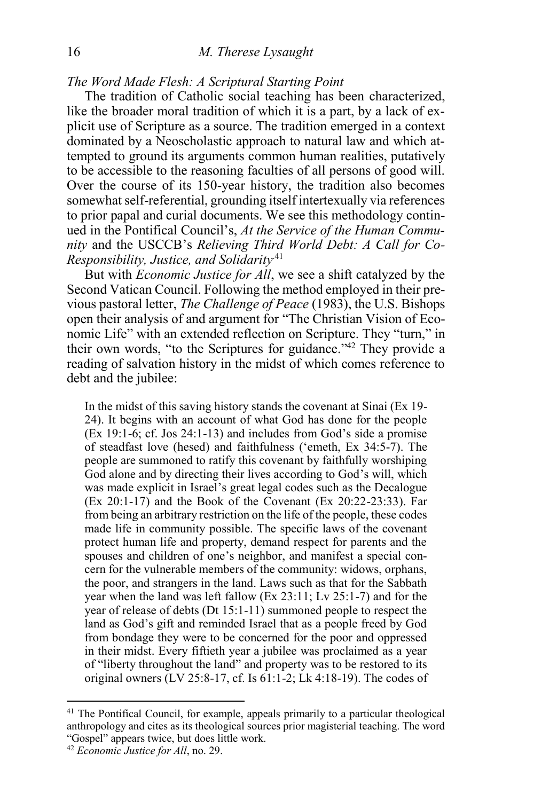*The Word Made Flesh: A Scriptural Starting Point*

The tradition of Catholic social teaching has been characterized, like the broader moral tradition of which it is a part, by a lack of explicit use of Scripture as a source. The tradition emerged in a context dominated by a Neoscholastic approach to natural law and which attempted to ground its arguments common human realities, putatively to be accessible to the reasoning faculties of all persons of good will. Over the course of its 150-year history, the tradition also becomes somewhat self-referential, grounding itself intertexually via references to prior papal and curial documents. We see this methodology continued in the Pontifical Council's, *At the Service of the Human Community* and the USCCB's *Relieving Third World Debt: A Call for Co-Responsibility, Justice, and Solidarity*.41

But with *Economic Justice for All*, we see a shift catalyzed by the Second Vatican Council. Following the method employed in their previous pastoral letter, *The Challenge of Peace* (1983), the U.S. Bishops open their analysis of and argument for "The Christian Vision of Economic Life" with an extended reflection on Scripture. They "turn," in their own words, "to the Scriptures for guidance."<sup>42</sup> They provide a reading of salvation history in the midst of which comes reference to debt and the jubilee:

In the midst of this saving history stands the covenant at Sinai (Ex 19- 24). It begins with an account of what God has done for the people (Ex 19:1-6; cf. Jos 24:1-13) and includes from God's side a promise of steadfast love (hesed) and faithfulness ('emeth, Ex 34:5-7). The people are summoned to ratify this covenant by faithfully worshiping God alone and by directing their lives according to God's will, which was made explicit in Israel's great legal codes such as the Decalogue (Ex 20:1-17) and the Book of the Covenant (Ex 20:22-23:33). Far from being an arbitrary restriction on the life of the people, these codes made life in community possible. The specific laws of the covenant protect human life and property, demand respect for parents and the spouses and children of one's neighbor, and manifest a special concern for the vulnerable members of the community: widows, orphans, the poor, and strangers in the land. Laws such as that for the Sabbath year when the land was left fallow (Ex 23:11; Lv 25:1-7) and for the year of release of debts (Dt 15:1-11) summoned people to respect the land as God's gift and reminded Israel that as a people freed by God from bondage they were to be concerned for the poor and oppressed in their midst. Every fiftieth year a jubilee was proclaimed as a year of "liberty throughout the land" and property was to be restored to its original owners (LV 25:8-17, cf. Is 61:1-2; Lk 4:18-19). The codes of

<sup>&</sup>lt;sup>41</sup> The Pontifical Council, for example, appeals primarily to a particular theological anthropology and cites as its theological sources prior magisterial teaching. The word "Gospel" appears twice, but does little work.

<sup>42</sup> *Economic Justice for All*, no. 29.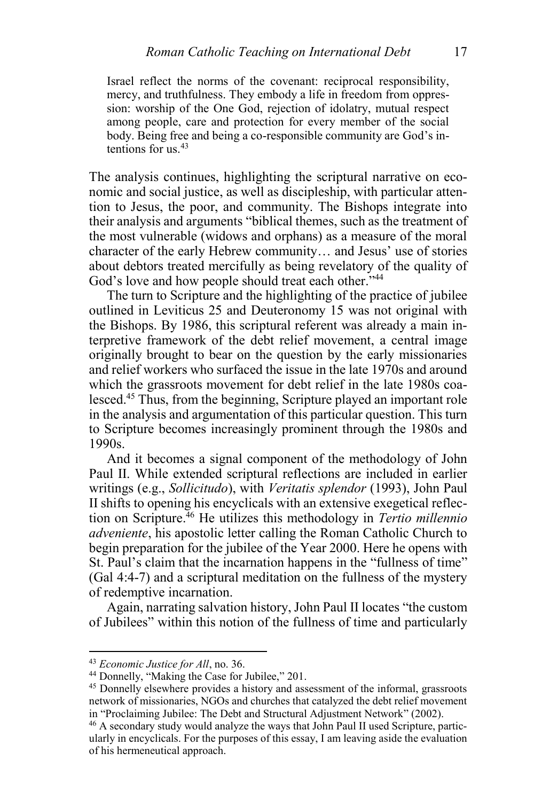Israel reflect the norms of the covenant: reciprocal responsibility, mercy, and truthfulness. They embody a life in freedom from oppression: worship of the One God, rejection of idolatry, mutual respect among people, care and protection for every member of the social body. Being free and being a co-responsible community are God's intentions for us.<sup>43</sup>

The analysis continues, highlighting the scriptural narrative on economic and social justice, as well as discipleship, with particular attention to Jesus, the poor, and community. The Bishops integrate into their analysis and arguments "biblical themes, such as the treatment of the most vulnerable (widows and orphans) as a measure of the moral character of the early Hebrew community… and Jesus' use of stories about debtors treated mercifully as being revelatory of the quality of God's love and how people should treat each other."<sup>44</sup>

The turn to Scripture and the highlighting of the practice of jubilee outlined in Leviticus 25 and Deuteronomy 15 was not original with the Bishops. By 1986, this scriptural referent was already a main interpretive framework of the debt relief movement, a central image originally brought to bear on the question by the early missionaries and relief workers who surfaced the issue in the late 1970s and around which the grassroots movement for debt relief in the late 1980s coalesced.<sup>45</sup> Thus, from the beginning, Scripture played an important role in the analysis and argumentation of this particular question. This turn to Scripture becomes increasingly prominent through the 1980s and 1990s.

And it becomes a signal component of the methodology of John Paul II. While extended scriptural reflections are included in earlier writings (e.g., *Sollicitudo*), with *Veritatis splendor* (1993), John Paul II shifts to opening his encyclicals with an extensive exegetical reflection on Scripture. <sup>46</sup> He utilizes this methodology in *Tertio millennio adveniente*, his apostolic letter calling the Roman Catholic Church to begin preparation for the jubilee of the Year 2000. Here he opens with St. Paul's claim that the incarnation happens in the "fullness of time" (Gal 4:4-7) and a scriptural meditation on the fullness of the mystery of redemptive incarnation.

Again, narrating salvation history, John Paul II locates "the custom of Jubilees" within this notion of the fullness of time and particularly

<sup>43</sup> *Economic Justice for All*, no. 36.

<sup>44</sup> Donnelly, "Making the Case for Jubilee," 201.

<sup>45</sup> Donnelly elsewhere provides a history and assessment of the informal, grassroots network of missionaries, NGOs and churches that catalyzed the debt relief movement in "Proclaiming Jubilee: The Debt and Structural Adjustment Network" (2002).

<sup>46</sup> A secondary study would analyze the ways that John Paul II used Scripture, particularly in encyclicals. For the purposes of this essay, I am leaving aside the evaluation of his hermeneutical approach.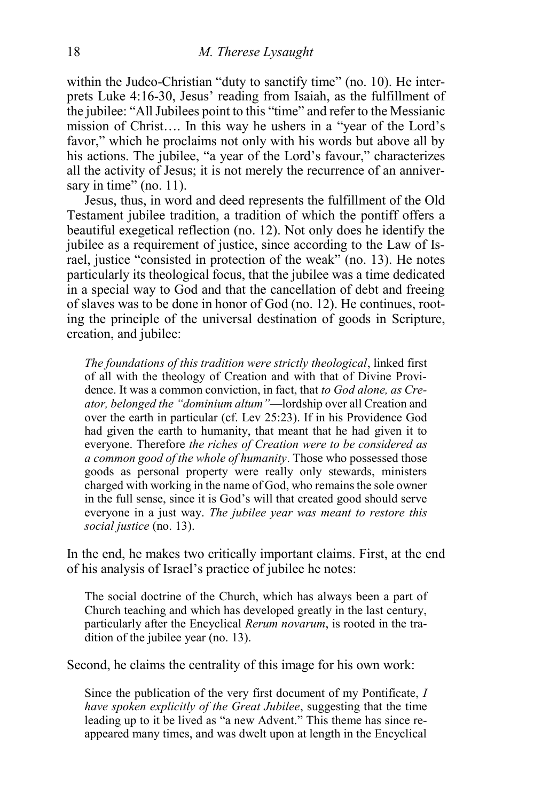within the Judeo-Christian "duty to sanctify time" (no. 10). He interprets Luke 4:16-30, Jesus' reading from Isaiah, as the fulfillment of the jubilee: "All Jubilees point to this "time" and refer to the Messianic mission of Christ…. In this way he ushers in a "year of the Lord's favor," which he proclaims not only with his words but above all by his actions. The jubilee, "a year of the Lord's favour," characterizes all the activity of Jesus; it is not merely the recurrence of an anniversary in time" (no. 11).

Jesus, thus, in word and deed represents the fulfillment of the Old Testament jubilee tradition, a tradition of which the pontiff offers a beautiful exegetical reflection (no. 12). Not only does he identify the jubilee as a requirement of justice, since according to the Law of Israel, justice "consisted in protection of the weak" (no. 13). He notes particularly its theological focus, that the jubilee was a time dedicated in a special way to God and that the cancellation of debt and freeing of slaves was to be done in honor of God (no. 12). He continues, rooting the principle of the universal destination of goods in Scripture, creation, and jubilee:

*The foundations of this tradition were strictly theological*, linked first of all with the theology of Creation and with that of Divine Providence. It was a common conviction, in fact, that *to God alone, as Creator, belonged the "dominium altum"*—lordship over all Creation and over the earth in particular (cf. Lev 25:23). If in his Providence God had given the earth to humanity, that meant that he had given it to everyone. Therefore *the riches of Creation were to be considered as a common good of the whole of humanity*. Those who possessed those goods as personal property were really only stewards, ministers charged with working in the name of God, who remains the sole owner in the full sense, since it is God's will that created good should serve everyone in a just way. *The jubilee year was meant to restore this social justice* (no. 13).

In the end, he makes two critically important claims. First, at the end of his analysis of Israel's practice of jubilee he notes:

The social doctrine of the Church, which has always been a part of Church teaching and which has developed greatly in the last century, particularly after the Encyclical *Rerum novarum*, is rooted in the tradition of the jubilee year (no. 13).

Second, he claims the centrality of this image for his own work:

Since the publication of the very first document of my Pontificate, *I have spoken explicitly of the Great Jubilee*, suggesting that the time leading up to it be lived as "a new Advent." This theme has since reappeared many times, and was dwelt upon at length in the Encyclical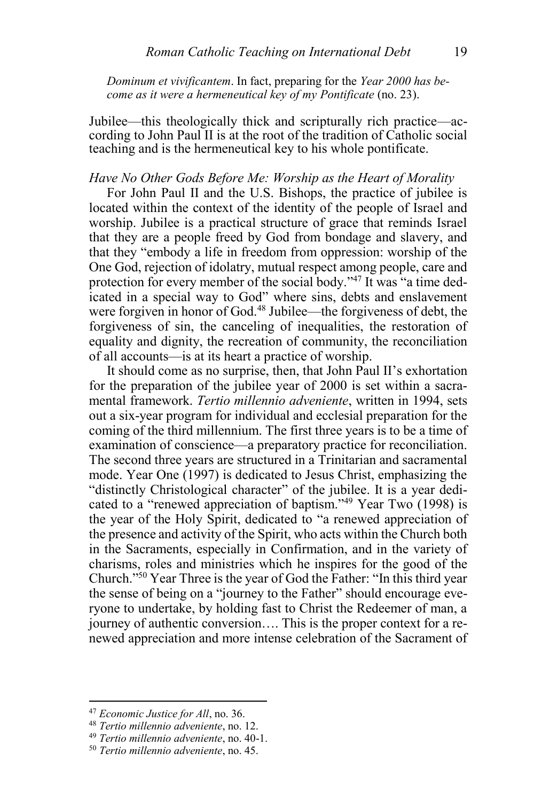*Dominum et vivificantem*. In fact, preparing for the *Year 2000 has become as it were a hermeneutical key of my Pontificate* (no. 23).

Jubilee—this theologically thick and scripturally rich practice—according to John Paul II is at the root of the tradition of Catholic social teaching and is the hermeneutical key to his whole pontificate.

#### *Have No Other Gods Before Me: Worship as the Heart of Morality*

For John Paul II and the U.S. Bishops, the practice of jubilee is located within the context of the identity of the people of Israel and worship. Jubilee is a practical structure of grace that reminds Israel that they are a people freed by God from bondage and slavery, and that they "embody a life in freedom from oppression: worship of the One God, rejection of idolatry, mutual respect among people, care and protection for every member of the social body."<sup>47</sup> It was "a time dedicated in a special way to God" where sins, debts and enslavement were forgiven in honor of God.<sup>48</sup> Jubilee—the forgiveness of debt, the forgiveness of sin, the canceling of inequalities, the restoration of equality and dignity, the recreation of community, the reconciliation of all accounts—is at its heart a practice of worship.

It should come as no surprise, then, that John Paul II's exhortation for the preparation of the jubilee year of 2000 is set within a sacramental framework. *Tertio millennio adveniente*, written in 1994, sets out a six-year program for individual and ecclesial preparation for the coming of the third millennium. The first three years is to be a time of examination of conscience—a preparatory practice for reconciliation. The second three years are structured in a Trinitarian and sacramental mode. Year One (1997) is dedicated to Jesus Christ, emphasizing the "distinctly Christological character" of the jubilee. It is a year dedicated to a "renewed appreciation of baptism." <sup>49</sup> Year Two (1998) is the year of the Holy Spirit, dedicated to "a renewed appreciation of the presence and activity of the Spirit, who acts within the Church both in the Sacraments, especially in Confirmation, and in the variety of charisms, roles and ministries which he inspires for the good of the Church." <sup>50</sup> Year Three is the year of God the Father: "In this third year the sense of being on a "journey to the Father" should encourage everyone to undertake, by holding fast to Christ the Redeemer of man, a journey of authentic conversion…. This is the proper context for a renewed appreciation and more intense celebration of the Sacrament of

<sup>47</sup> *Economic Justice for All*, no. 36.

<sup>48</sup> *Tertio millennio adveniente*, no. 12.

<sup>49</sup> *Tertio millennio adveniente*, no. 40-1.

<sup>50</sup> *Tertio millennio adveniente*, no. 45.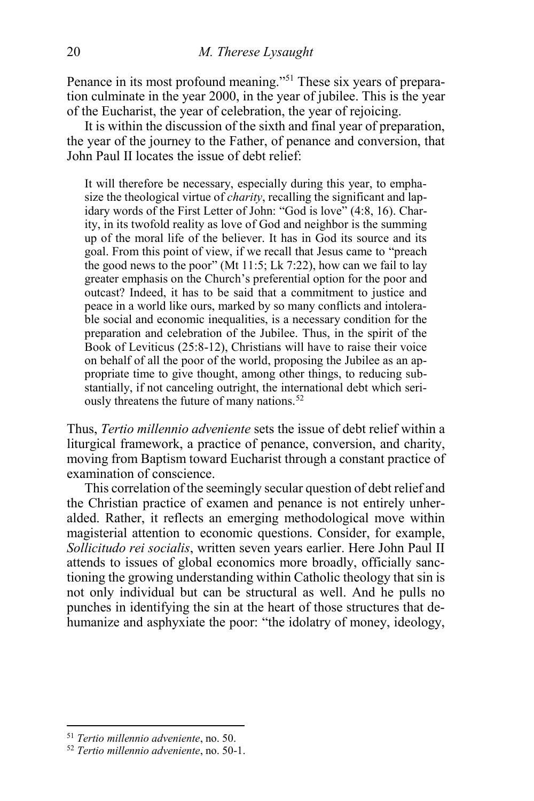Penance in its most profound meaning."<sup>51</sup> These six years of preparation culminate in the year 2000, in the year of jubilee. This is the year of the Eucharist, the year of celebration, the year of rejoicing.

It is within the discussion of the sixth and final year of preparation, the year of the journey to the Father, of penance and conversion, that John Paul II locates the issue of debt relief:

It will therefore be necessary, especially during this year, to emphasize the theological virtue of *charity*, recalling the significant and lapidary words of the First Letter of John: "God is love" (4:8, 16). Charity, in its twofold reality as love of God and neighbor is the summing up of the moral life of the believer. It has in God its source and its goal. From this point of view, if we recall that Jesus came to "preach the good news to the poor" (Mt 11:5; Lk 7:22), how can we fail to lay greater emphasis on the Church's preferential option for the poor and outcast? Indeed, it has to be said that a commitment to justice and peace in a world like ours, marked by so many conflicts and intolerable social and economic inequalities, is a necessary condition for the preparation and celebration of the Jubilee. Thus, in the spirit of the Book of Leviticus (25:8-12), Christians will have to raise their voice on behalf of all the poor of the world, proposing the Jubilee as an appropriate time to give thought, among other things, to reducing substantially, if not canceling outright, the international debt which seriously threatens the future of many nations.<sup>52</sup>

Thus, *Tertio millennio adveniente* sets the issue of debt relief within a liturgical framework, a practice of penance, conversion, and charity, moving from Baptism toward Eucharist through a constant practice of examination of conscience.

This correlation of the seemingly secular question of debt relief and the Christian practice of examen and penance is not entirely unheralded. Rather, it reflects an emerging methodological move within magisterial attention to economic questions. Consider, for example, *Sollicitudo rei socialis*, written seven years earlier. Here John Paul II attends to issues of global economics more broadly, officially sanctioning the growing understanding within Catholic theology that sin is not only individual but can be structural as well. And he pulls no punches in identifying the sin at the heart of those structures that dehumanize and asphyxiate the poor: "the idolatry of money, ideology,

<sup>51</sup> *Tertio millennio adveniente*, no. 50.

<sup>52</sup> *Tertio millennio adveniente*, no. 50-1.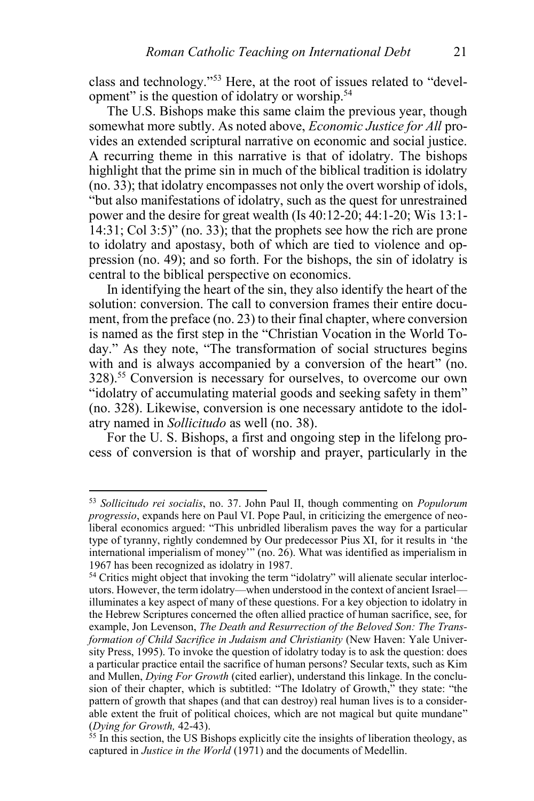class and technology." <sup>53</sup> Here, at the root of issues related to "development" is the question of idolatry or worship.<sup>54</sup>

The U.S. Bishops make this same claim the previous year, though somewhat more subtly. As noted above, *Economic Justice for All* provides an extended scriptural narrative on economic and social justice. A recurring theme in this narrative is that of idolatry. The bishops highlight that the prime sin in much of the biblical tradition is idolatry (no. 33); that idolatry encompasses not only the overt worship of idols, "but also manifestations of idolatry, such as the quest for unrestrained power and the desire for great wealth (Is 40:12-20; 44:1-20; Wis 13:1-  $14:31$ ; Col 3:5)" (no. 33); that the prophets see how the rich are prone to idolatry and apostasy, both of which are tied to violence and oppression (no. 49); and so forth. For the bishops, the sin of idolatry is central to the biblical perspective on economics.

In identifying the heart of the sin, they also identify the heart of the solution: conversion. The call to conversion frames their entire document, from the preface (no. 23) to their final chapter, where conversion is named as the first step in the "Christian Vocation in the World Today." As they note, "The transformation of social structures begins with and is always accompanied by a conversion of the heart" (no. 328).<sup>55</sup> Conversion is necessary for ourselves, to overcome our own "idolatry of accumulating material goods and seeking safety in them" (no. 328). Likewise, conversion is one necessary antidote to the idolatry named in *Sollicitudo* as well (no. 38).

For the U. S. Bishops, a first and ongoing step in the lifelong process of conversion is that of worship and prayer, particularly in the

<sup>53</sup> *Sollicitudo rei socialis*, no. 37. John Paul II, though commenting on *Populorum progressio*, expands here on Paul VI. Pope Paul, in criticizing the emergence of neoliberal economics argued: "This unbridled liberalism paves the way for a particular type of tyranny, rightly condemned by Our predecessor Pius XI, for it results in 'the international imperialism of money'" (no. 26). What was identified as imperialism in 1967 has been recognized as idolatry in 1987.

<sup>&</sup>lt;sup>54</sup> Critics might object that invoking the term "idolatry" will alienate secular interlocutors. However, the term idolatry—when understood in the context of ancient Israel illuminates a key aspect of many of these questions. For a key objection to idolatry in the Hebrew Scriptures concerned the often allied practice of human sacrifice, see, for example, Jon Levenson, *The Death and Resurrection of the Beloved Son: The Transformation of Child Sacrifice in Judaism and Christianity* (New Haven: Yale University Press, 1995). To invoke the question of idolatry today is to ask the question: does a particular practice entail the sacrifice of human persons? Secular texts, such as Kim and Mullen, *Dying For Growth* (cited earlier), understand this linkage. In the conclusion of their chapter, which is subtitled: "The Idolatry of Growth," they state: "the pattern of growth that shapes (and that can destroy) real human lives is to a considerable extent the fruit of political choices, which are not magical but quite mundane" (*Dying for Growth,* 42-43).

 $55$  In this section, the US Bishops explicitly cite the insights of liberation theology, as captured in *Justice in the World* (1971) and the documents of Medellin.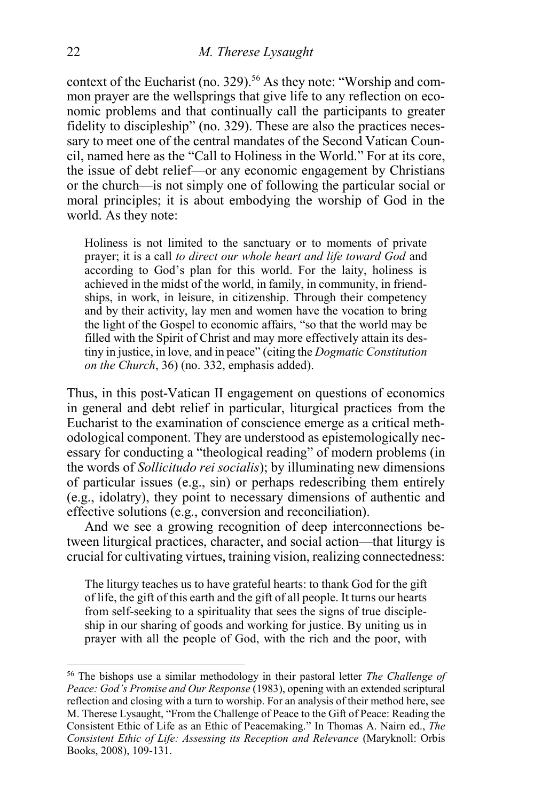context of the Eucharist (no. 329).<sup>56</sup> As they note: "Worship and common prayer are the wellsprings that give life to any reflection on economic problems and that continually call the participants to greater fidelity to discipleship" (no. 329). These are also the practices necessary to meet one of the central mandates of the Second Vatican Council, named here as the "Call to Holiness in the World." For at its core, the issue of debt relief—or any economic engagement by Christians or the church—is not simply one of following the particular social or moral principles; it is about embodying the worship of God in the world. As they note:

Holiness is not limited to the sanctuary or to moments of private prayer; it is a call *to direct our whole heart and life toward God* and according to God's plan for this world. For the laity, holiness is achieved in the midst of the world, in family, in community, in friendships, in work, in leisure, in citizenship. Through their competency and by their activity, lay men and women have the vocation to bring the light of the Gospel to economic affairs, "so that the world may be filled with the Spirit of Christ and may more effectively attain its destiny in justice, in love, and in peace" (citing the *Dogmatic Constitution on the Church*, 36) (no. 332, emphasis added).

Thus, in this post-Vatican II engagement on questions of economics in general and debt relief in particular, liturgical practices from the Eucharist to the examination of conscience emerge as a critical methodological component. They are understood as epistemologically necessary for conducting a "theological reading" of modern problems (in the words of *Sollicitudo rei socialis*); by illuminating new dimensions of particular issues (e.g., sin) or perhaps redescribing them entirely (e.g., idolatry), they point to necessary dimensions of authentic and effective solutions (e.g., conversion and reconciliation).

And we see a growing recognition of deep interconnections between liturgical practices, character, and social action—that liturgy is crucial for cultivating virtues, training vision, realizing connectedness:

The liturgy teaches us to have grateful hearts: to thank God for the gift of life, the gift of this earth and the gift of all people. It turns our hearts from self-seeking to a spirituality that sees the signs of true discipleship in our sharing of goods and working for justice. By uniting us in prayer with all the people of God, with the rich and the poor, with

<sup>56</sup> The bishops use a similar methodology in their pastoral letter *The Challenge of Peace: God's Promise and Our Response* (1983), opening with an extended scriptural reflection and closing with a turn to worship. For an analysis of their method here, see M. Therese Lysaught, "From the Challenge of Peace to the Gift of Peace: Reading the Consistent Ethic of Life as an Ethic of Peacemaking." In Thomas A. Nairn ed., *[The](http://philpapers.org/rec/NAITCE)  [Consistent Ethic of Life: Assessing its Reception and Relevance](http://philpapers.org/rec/NAITCE)* (Maryknoll: Orbis Books, 2008), 109-131.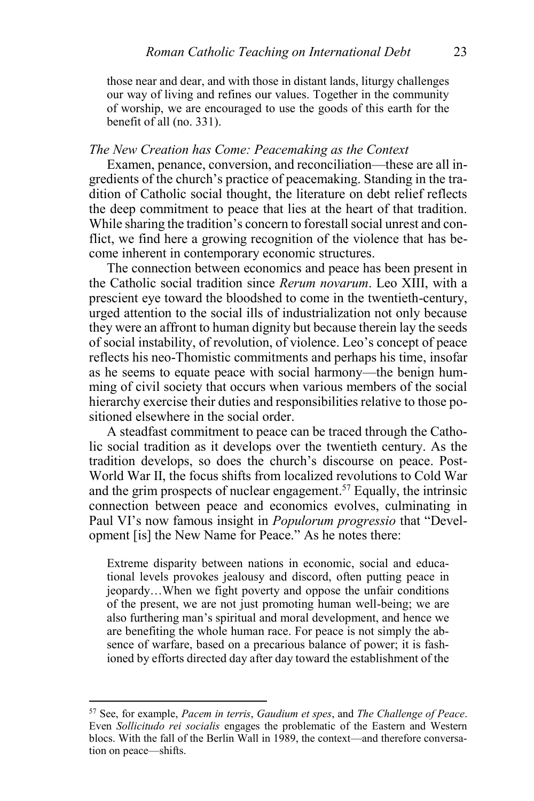those near and dear, and with those in distant lands, liturgy challenges our way of living and refines our values. Together in the community of worship, we are encouraged to use the goods of this earth for the benefit of all (no. 331).

#### *The New Creation has Come: Peacemaking as the Context*

Examen, penance, conversion, and reconciliation—these are all ingredients of the church's practice of peacemaking. Standing in the tradition of Catholic social thought, the literature on debt relief reflects the deep commitment to peace that lies at the heart of that tradition. While sharing the tradition's concern to forestall social unrest and conflict, we find here a growing recognition of the violence that has become inherent in contemporary economic structures.

The connection between economics and peace has been present in the Catholic social tradition since *Rerum novarum*. Leo XIII, with a prescient eye toward the bloodshed to come in the twentieth-century, urged attention to the social ills of industrialization not only because they were an affront to human dignity but because therein lay the seeds of social instability, of revolution, of violence. Leo's concept of peace reflects his neo-Thomistic commitments and perhaps his time, insofar as he seems to equate peace with social harmony—the benign humming of civil society that occurs when various members of the social hierarchy exercise their duties and responsibilities relative to those positioned elsewhere in the social order.

A steadfast commitment to peace can be traced through the Catholic social tradition as it develops over the twentieth century. As the tradition develops, so does the church's discourse on peace. Post-World War II, the focus shifts from localized revolutions to Cold War and the grim prospects of nuclear engagement.<sup>57</sup> Equally, the intrinsic connection between peace and economics evolves, culminating in Paul VI's now famous insight in *Populorum progressio* that "Development [is] the New Name for Peace." As he notes there:

Extreme disparity between nations in economic, social and educational levels provokes jealousy and discord, often putting peace in jeopardy…When we fight poverty and oppose the unfair conditions of the present, we are not just promoting human well-being; we are also furthering man's spiritual and moral development, and hence we are benefiting the whole human race. For peace is not simply the absence of warfare, based on a precarious balance of power; it is fashioned by efforts directed day after day toward the establishment of the

<sup>57</sup> See, for example, *Pacem in terris*, *Gaudium et spes*, and *The Challenge of Peace*. Even *Sollicitudo rei socialis* engages the problematic of the Eastern and Western blocs. With the fall of the Berlin Wall in 1989, the context—and therefore conversation on peace—shifts.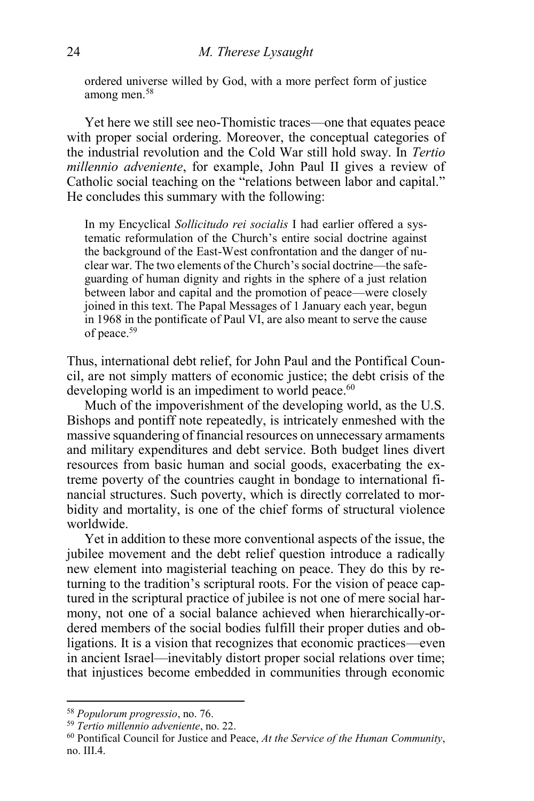ordered universe willed by God, with a more perfect form of justice among men.<sup>58</sup>

Yet here we still see neo-Thomistic traces—one that equates peace with proper social ordering. Moreover, the conceptual categories of the industrial revolution and the Cold War still hold sway. In *Tertio millennio adveniente*, for example, John Paul II gives a review of Catholic social teaching on the "relations between labor and capital." He concludes this summary with the following:

In my Encyclical *Sollicitudo rei socialis* I had earlier offered a systematic reformulation of the Church's entire social doctrine against the background of the East-West confrontation and the danger of nuclear war. The two elements of the Church's social doctrine—the safeguarding of human dignity and rights in the sphere of a just relation between labor and capital and the promotion of peace—were closely joined in this text. The Papal Messages of 1 January each year, begun in 1968 in the pontificate of Paul VI, are also meant to serve the cause of peace.<sup>59</sup>

Thus, international debt relief, for John Paul and the Pontifical Council, are not simply matters of economic justice; the debt crisis of the developing world is an impediment to world peace.<sup>60</sup>

Much of the impoverishment of the developing world, as the U.S. Bishops and pontiff note repeatedly, is intricately enmeshed with the massive squandering of financial resources on unnecessary armaments and military expenditures and debt service. Both budget lines divert resources from basic human and social goods, exacerbating the extreme poverty of the countries caught in bondage to international financial structures. Such poverty, which is directly correlated to morbidity and mortality, is one of the chief forms of structural violence worldwide.

Yet in addition to these more conventional aspects of the issue, the jubilee movement and the debt relief question introduce a radically new element into magisterial teaching on peace. They do this by returning to the tradition's scriptural roots. For the vision of peace captured in the scriptural practice of jubilee is not one of mere social harmony, not one of a social balance achieved when hierarchically-ordered members of the social bodies fulfill their proper duties and obligations. It is a vision that recognizes that economic practices—even in ancient Israel—inevitably distort proper social relations over time; that injustices become embedded in communities through economic

<sup>58</sup> *Populorum progressio*, no. 76.

<sup>59</sup> *Tertio millennio adveniente*, no. 22.

<sup>60</sup> Pontifical Council for Justice and Peace, *At the Service of the Human Community*, no. III.4.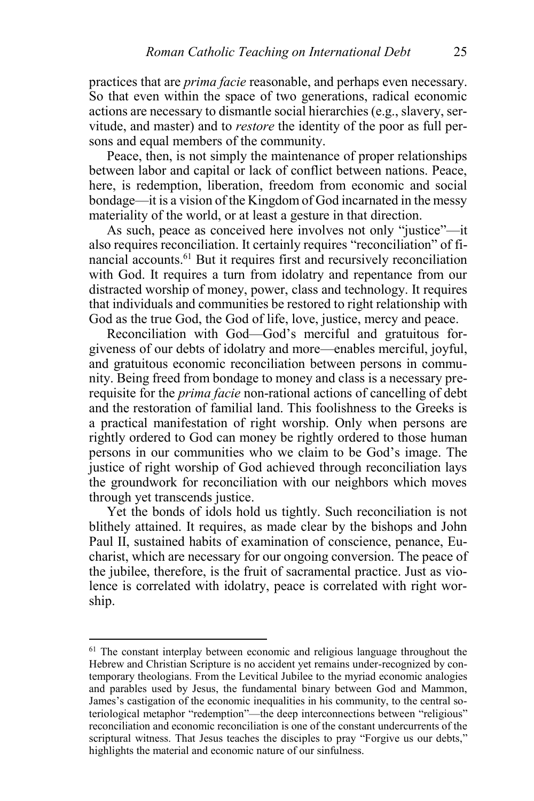practices that are *prima facie* reasonable, and perhaps even necessary. So that even within the space of two generations, radical economic actions are necessary to dismantle social hierarchies (e.g., slavery, servitude, and master) and to *restore* the identity of the poor as full persons and equal members of the community.

Peace, then, is not simply the maintenance of proper relationships between labor and capital or lack of conflict between nations. Peace, here, is redemption, liberation, freedom from economic and social bondage—it is a vision of the Kingdom of God incarnated in the messy materiality of the world, or at least a gesture in that direction.

As such, peace as conceived here involves not only "justice"—it also requires reconciliation. It certainly requires "reconciliation" of financial accounts.<sup>61</sup> But it requires first and recursively reconciliation with God. It requires a turn from idolatry and repentance from our distracted worship of money, power, class and technology. It requires that individuals and communities be restored to right relationship with God as the true God, the God of life, love, justice, mercy and peace.

Reconciliation with God—God's merciful and gratuitous forgiveness of our debts of idolatry and more—enables merciful, joyful, and gratuitous economic reconciliation between persons in community. Being freed from bondage to money and class is a necessary prerequisite for the *prima facie* non-rational actions of cancelling of debt and the restoration of familial land. This foolishness to the Greeks is a practical manifestation of right worship. Only when persons are rightly ordered to God can money be rightly ordered to those human persons in our communities who we claim to be God's image. The justice of right worship of God achieved through reconciliation lays the groundwork for reconciliation with our neighbors which moves through yet transcends justice.

Yet the bonds of idols hold us tightly. Such reconciliation is not blithely attained. It requires, as made clear by the bishops and John Paul II, sustained habits of examination of conscience, penance, Eucharist, which are necessary for our ongoing conversion. The peace of the jubilee, therefore, is the fruit of sacramental practice. Just as violence is correlated with idolatry, peace is correlated with right worship.

<sup>&</sup>lt;sup>61</sup> The constant interplay between economic and religious language throughout the Hebrew and Christian Scripture is no accident yet remains under-recognized by contemporary theologians. From the Levitical Jubilee to the myriad economic analogies and parables used by Jesus, the fundamental binary between God and Mammon, James's castigation of the economic inequalities in his community, to the central soteriological metaphor "redemption"—the deep interconnections between "religious" reconciliation and economic reconciliation is one of the constant undercurrents of the scriptural witness. That Jesus teaches the disciples to pray "Forgive us our debts," highlights the material and economic nature of our sinfulness.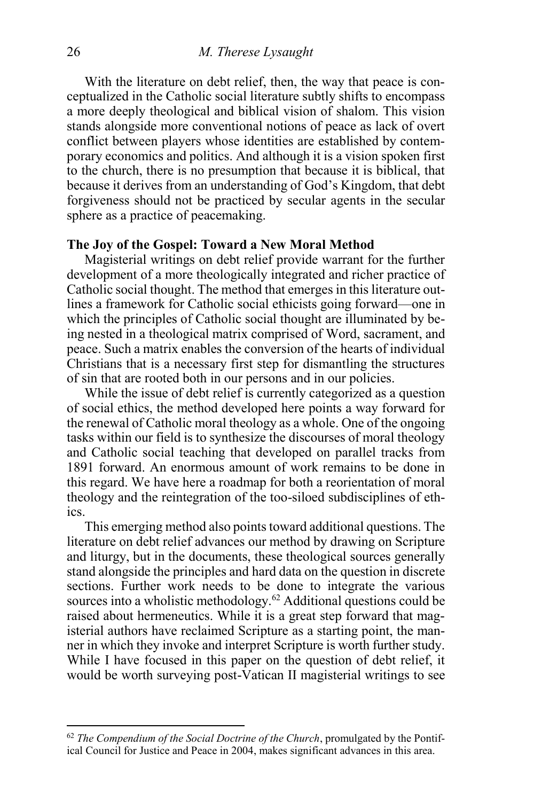With the literature on debt relief, then, the way that peace is conceptualized in the Catholic social literature subtly shifts to encompass a more deeply theological and biblical vision of shalom. This vision stands alongside more conventional notions of peace as lack of overt conflict between players whose identities are established by contemporary economics and politics. And although it is a vision spoken first to the church, there is no presumption that because it is biblical, that because it derives from an understanding of God's Kingdom, that debt forgiveness should not be practiced by secular agents in the secular sphere as a practice of peacemaking.

#### **The Joy of the Gospel: Toward a New Moral Method**

Magisterial writings on debt relief provide warrant for the further development of a more theologically integrated and richer practice of Catholic social thought. The method that emerges in this literature outlines a framework for Catholic social ethicists going forward—one in which the principles of Catholic social thought are illuminated by being nested in a theological matrix comprised of Word, sacrament, and peace. Such a matrix enables the conversion of the hearts of individual Christians that is a necessary first step for dismantling the structures of sin that are rooted both in our persons and in our policies.

While the issue of debt relief is currently categorized as a question of social ethics, the method developed here points a way forward for the renewal of Catholic moral theology as a whole. One of the ongoing tasks within our field is to synthesize the discourses of moral theology and Catholic social teaching that developed on parallel tracks from 1891 forward. An enormous amount of work remains to be done in this regard. We have here a roadmap for both a reorientation of moral theology and the reintegration of the too-siloed subdisciplines of ethics.

This emerging method also points toward additional questions. The literature on debt relief advances our method by drawing on Scripture and liturgy, but in the documents, these theological sources generally stand alongside the principles and hard data on the question in discrete sections. Further work needs to be done to integrate the various sources into a wholistic methodology.<sup>62</sup> Additional questions could be raised about hermeneutics. While it is a great step forward that magisterial authors have reclaimed Scripture as a starting point, the manner in which they invoke and interpret Scripture is worth further study. While I have focused in this paper on the question of debt relief, it would be worth surveying post-Vatican II magisterial writings to see

 $\overline{\phantom{a}}$ 

<sup>62</sup> *The Compendium of the Social Doctrine of the Church*, promulgated by the Pontifical Council for Justice and Peace in 2004, makes significant advances in this area.